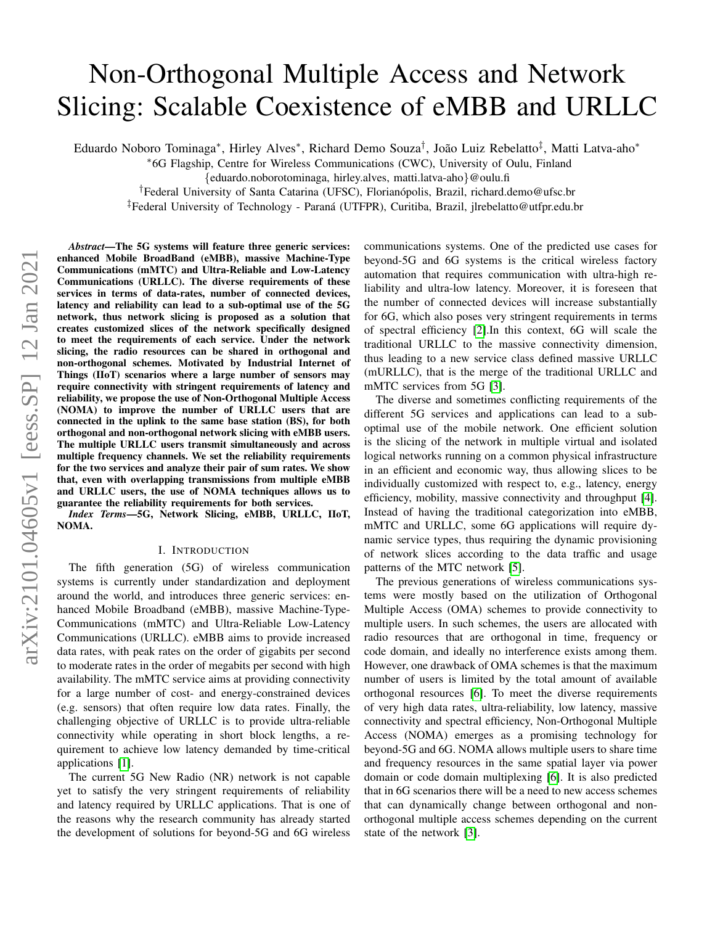# Non-Orthogonal Multiple Access and Network Slicing: Scalable Coexistence of eMBB and URLLC

Eduardo Noboro Tominaga\*, Hirley Alves\*, Richard Demo Souza<sup>†</sup>, João Luiz Rebelatto<sup>‡</sup>, Matti Latva-aho\*

<sup>∗</sup>6G Flagship, Centre for Wireless Communications (CWC), University of Oulu, Finland

{eduardo.noborotominaga, hirley.alves, matti.latva-aho}@oulu.fi

<sup>†</sup>Federal University of Santa Catarina (UFSC), Florianópolis, Brazil, richard.demo@ufsc.br

‡Federal University of Technology - Parana (UTFPR), Curitiba, Brazil, jlrebelatto@utfpr.edu.br ´

*Abstract*—The 5G systems will feature three generic services: enhanced Mobile BroadBand (eMBB), massive Machine-Type Communications (mMTC) and Ultra-Reliable and Low-Latency Communications (URLLC). The diverse requirements of these services in terms of data-rates, number of connected devices, latency and reliability can lead to a sub-optimal use of the 5G network, thus network slicing is proposed as a solution that creates customized slices of the network specifically designed to meet the requirements of each service. Under the network slicing, the radio resources can be shared in orthogonal and non-orthogonal schemes. Motivated by Industrial Internet of Things (IIoT) scenarios where a large number of sensors may require connectivity with stringent requirements of latency and reliability, we propose the use of Non-Orthogonal Multiple Access (NOMA) to improve the number of URLLC users that are connected in the uplink to the same base station (BS), for both orthogonal and non-orthogonal network slicing with eMBB users. The multiple URLLC users transmit simultaneously and across multiple frequency channels. We set the reliability requirements for the two services and analyze their pair of sum rates. We show that, even with overlapping transmissions from multiple eMBB and URLLC users, the use of NOMA techniques allows us to guarantee the reliability requirements for both services.

*Index Terms*—5G, Network Slicing, eMBB, URLLC, IIoT, NOMA.

#### I. INTRODUCTION

The fifth generation (5G) of wireless communication systems is currently under standardization and deployment around the world, and introduces three generic services: enhanced Mobile Broadband (eMBB), massive Machine-Type-Communications (mMTC) and Ultra-Reliable Low-Latency Communications (URLLC). eMBB aims to provide increased data rates, with peak rates on the order of gigabits per second to moderate rates in the order of megabits per second with high availability. The mMTC service aims at providing connectivity for a large number of cost- and energy-constrained devices (e.g. sensors) that often require low data rates. Finally, the challenging objective of URLLC is to provide ultra-reliable connectivity while operating in short block lengths, a requirement to achieve low latency demanded by time-critical applications [\[1\]](#page-5-0).

The current 5G New Radio (NR) network is not capable yet to satisfy the very stringent requirements of reliability and latency required by URLLC applications. That is one of the reasons why the research community has already started the development of solutions for beyond-5G and 6G wireless communications systems. One of the predicted use cases for beyond-5G and 6G systems is the critical wireless factory automation that requires communication with ultra-high reliability and ultra-low latency. Moreover, it is foreseen that the number of connected devices will increase substantially for 6G, which also poses very stringent requirements in terms of spectral efficiency [\[2\]](#page-5-1).In this context, 6G will scale the traditional URLLC to the massive connectivity dimension, thus leading to a new service class defined massive URLLC (mURLLC), that is the merge of the traditional URLLC and mMTC services from 5G [\[3\]](#page-5-2).

The diverse and sometimes conflicting requirements of the different 5G services and applications can lead to a suboptimal use of the mobile network. One efficient solution is the slicing of the network in multiple virtual and isolated logical networks running on a common physical infrastructure in an efficient and economic way, thus allowing slices to be individually customized with respect to, e.g., latency, energy efficiency, mobility, massive connectivity and throughput [\[4\]](#page-5-3). Instead of having the traditional categorization into eMBB, mMTC and URLLC, some 6G applications will require dynamic service types, thus requiring the dynamic provisioning of network slices according to the data traffic and usage patterns of the MTC network [\[5\]](#page-5-4).

The previous generations of wireless communications systems were mostly based on the utilization of Orthogonal Multiple Access (OMA) schemes to provide connectivity to multiple users. In such schemes, the users are allocated with radio resources that are orthogonal in time, frequency or code domain, and ideally no interference exists among them. However, one drawback of OMA schemes is that the maximum number of users is limited by the total amount of available orthogonal resources [\[6\]](#page-5-5). To meet the diverse requirements of very high data rates, ultra-reliability, low latency, massive connectivity and spectral efficiency, Non-Orthogonal Multiple Access (NOMA) emerges as a promising technology for beyond-5G and 6G. NOMA allows multiple users to share time and frequency resources in the same spatial layer via power domain or code domain multiplexing [\[6\]](#page-5-5). It is also predicted that in 6G scenarios there will be a need to new access schemes that can dynamically change between orthogonal and nonorthogonal multiple access schemes depending on the current state of the network [\[3\]](#page-5-2).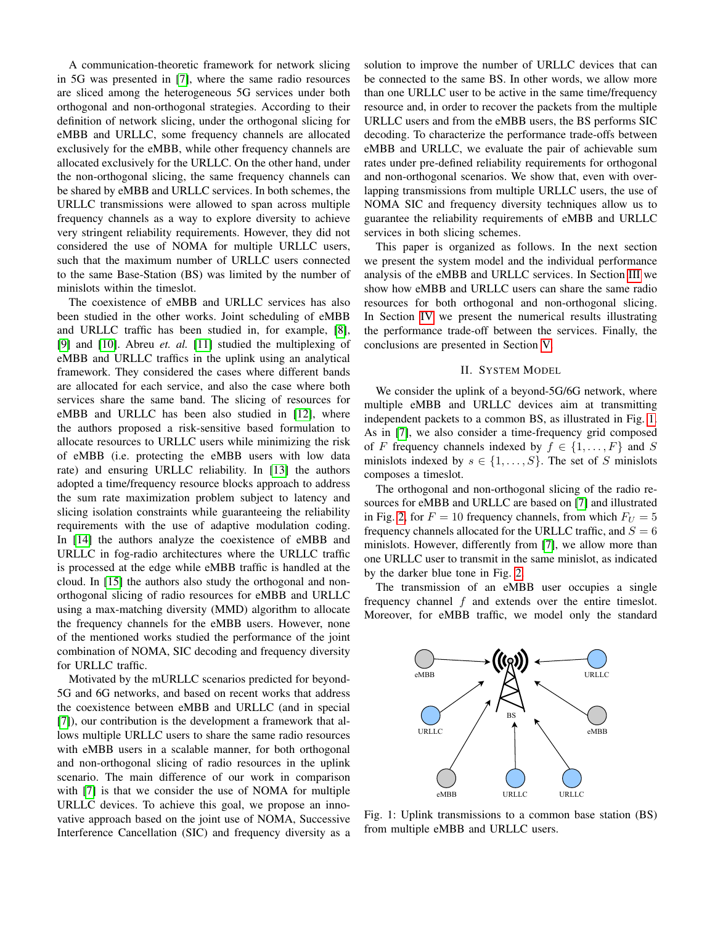A communication-theoretic framework for network slicing in 5G was presented in [\[7\]](#page-5-6), where the same radio resources are sliced among the heterogeneous 5G services under both orthogonal and non-orthogonal strategies. According to their definition of network slicing, under the orthogonal slicing for eMBB and URLLC, some frequency channels are allocated exclusively for the eMBB, while other frequency channels are allocated exclusively for the URLLC. On the other hand, under the non-orthogonal slicing, the same frequency channels can be shared by eMBB and URLLC services. In both schemes, the URLLC transmissions were allowed to span across multiple frequency channels as a way to explore diversity to achieve very stringent reliability requirements. However, they did not considered the use of NOMA for multiple URLLC users, such that the maximum number of URLLC users connected to the same Base-Station (BS) was limited by the number of minislots within the timeslot.

The coexistence of eMBB and URLLC services has also been studied in the other works. Joint scheduling of eMBB and URLLC traffic has been studied in, for example, [\[8\]](#page-5-7), [\[9\]](#page-5-8) and [\[10\]](#page-5-9). Abreu *et. al.* [\[11\]](#page-5-10) studied the multiplexing of eMBB and URLLC traffics in the uplink using an analytical framework. They considered the cases where different bands are allocated for each service, and also the case where both services share the same band. The slicing of resources for eMBB and URLLC has been also studied in [\[12\]](#page-5-11), where the authors proposed a risk-sensitive based formulation to allocate resources to URLLC users while minimizing the risk of eMBB (i.e. protecting the eMBB users with low data rate) and ensuring URLLC reliability. In [\[13\]](#page-5-12) the authors adopted a time/frequency resource blocks approach to address the sum rate maximization problem subject to latency and slicing isolation constraints while guaranteeing the reliability requirements with the use of adaptive modulation coding. In [\[14\]](#page-5-13) the authors analyze the coexistence of eMBB and URLLC in fog-radio architectures where the URLLC traffic is processed at the edge while eMBB traffic is handled at the cloud. In [\[15\]](#page-5-14) the authors also study the orthogonal and nonorthogonal slicing of radio resources for eMBB and URLLC using a max-matching diversity (MMD) algorithm to allocate the frequency channels for the eMBB users. However, none of the mentioned works studied the performance of the joint combination of NOMA, SIC decoding and frequency diversity for URLLC traffic.

Motivated by the mURLLC scenarios predicted for beyond-5G and 6G networks, and based on recent works that address the coexistence between eMBB and URLLC (and in special [\[7\]](#page-5-6)), our contribution is the development a framework that allows multiple URLLC users to share the same radio resources with eMBB users in a scalable manner, for both orthogonal and non-orthogonal slicing of radio resources in the uplink scenario. The main difference of our work in comparison with [\[7\]](#page-5-6) is that we consider the use of NOMA for multiple URLLC devices. To achieve this goal, we propose an innovative approach based on the joint use of NOMA, Successive Interference Cancellation (SIC) and frequency diversity as a solution to improve the number of URLLC devices that can be connected to the same BS. In other words, we allow more than one URLLC user to be active in the same time/frequency resource and, in order to recover the packets from the multiple URLLC users and from the eMBB users, the BS performs SIC decoding. To characterize the performance trade-offs between eMBB and URLLC, we evaluate the pair of achievable sum rates under pre-defined reliability requirements for orthogonal and non-orthogonal scenarios. We show that, even with overlapping transmissions from multiple URLLC users, the use of NOMA SIC and frequency diversity techniques allow us to guarantee the reliability requirements of eMBB and URLLC services in both slicing schemes.

This paper is organized as follows. In the next section we present the system model and the individual performance analysis of the eMBB and URLLC services. In Section [III](#page-3-0) we show how eMBB and URLLC users can share the same radio resources for both orthogonal and non-orthogonal slicing. In Section [IV](#page-4-0) we present the numerical results illustrating the performance trade-off between the services. Finally, the conclusions are presented in Section [V.](#page-5-15)

#### II. SYSTEM MODEL

We consider the uplink of a beyond-5G/6G network, where multiple eMBB and URLLC devices aim at transmitting independent packets to a common BS, as illustrated in Fig. [1.](#page-1-0) As in [\[7\]](#page-5-6), we also consider a time-frequency grid composed of F frequency channels indexed by  $f \in \{1, ..., F\}$  and S minislots indexed by  $s \in \{1, \ldots, S\}$ . The set of S minislots composes a timeslot.

The orthogonal and non-orthogonal slicing of the radio resources for eMBB and URLLC are based on [\[7\]](#page-5-6) and illustrated in Fig. [2,](#page-2-0) for  $F = 10$  frequency channels, from which  $F_U = 5$ frequency channels allocated for the URLLC traffic, and  $S = 6$ minislots. However, differently from [\[7\]](#page-5-6), we allow more than one URLLC user to transmit in the same minislot, as indicated by the darker blue tone in Fig. [2.](#page-2-0)

The transmission of an eMBB user occupies a single frequency channel f and extends over the entire timeslot. Moreover, for eMBB traffic, we model only the standard

<span id="page-1-0"></span>

Fig. 1: Uplink transmissions to a common base station (BS) from multiple eMBB and URLLC users.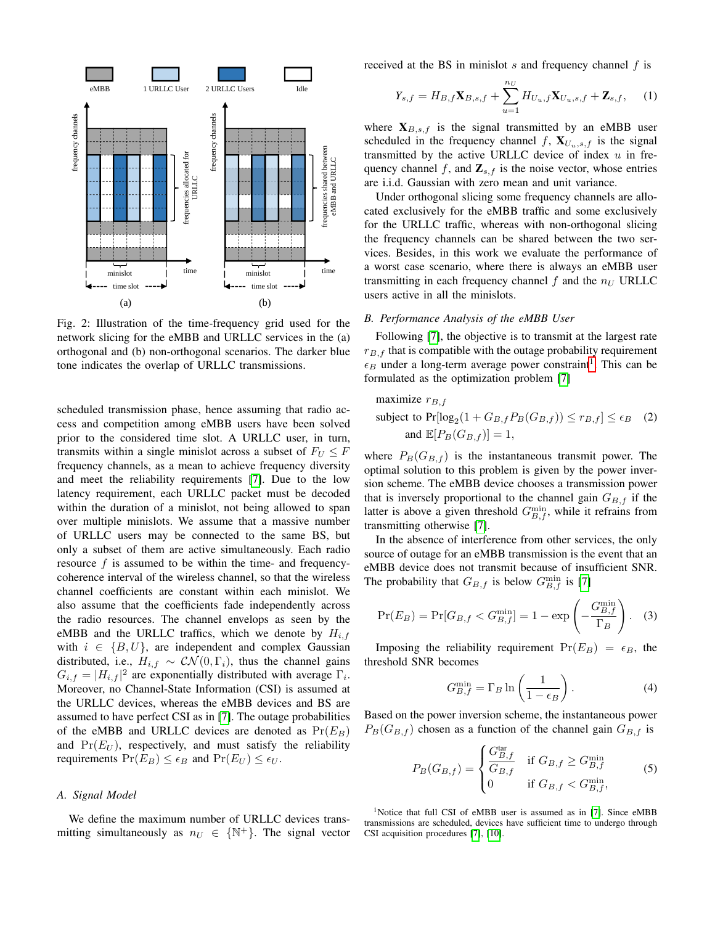<span id="page-2-0"></span>

Fig. 2: Illustration of the time-frequency grid used for the network slicing for the eMBB and URLLC services in the (a) orthogonal and (b) non-orthogonal scenarios. The darker blue tone indicates the overlap of URLLC transmissions.

scheduled transmission phase, hence assuming that radio access and competition among eMBB users have been solved prior to the considered time slot. A URLLC user, in turn, transmits within a single minislot across a subset of  $F_U \leq F$ frequency channels, as a mean to achieve frequency diversity and meet the reliability requirements [\[7\]](#page-5-6). Due to the low latency requirement, each URLLC packet must be decoded within the duration of a minislot, not being allowed to span over multiple minislots. We assume that a massive number of URLLC users may be connected to the same BS, but only a subset of them are active simultaneously. Each radio resource  $f$  is assumed to be within the time- and frequencycoherence interval of the wireless channel, so that the wireless channel coefficients are constant within each minislot. We also assume that the coefficients fade independently across the radio resources. The channel envelops as seen by the eMBB and the URLLC traffics, which we denote by  $H_{i,f}$ with  $i \in \{B, U\}$ , are independent and complex Gaussian distributed, i.e.,  $H_{i,f} \sim \mathcal{CN}(0,\Gamma_i)$ , thus the channel gains  $G_{i,f} = |H_{i,f}|^2$  are exponentially distributed with average  $\Gamma_i$ . Moreover, no Channel-State Information (CSI) is assumed at the URLLC devices, whereas the eMBB devices and BS are assumed to have perfect CSI as in [\[7\]](#page-5-6). The outage probabilities of the eMBB and URLLC devices are denoted as  $Pr(E_B)$ and  $Pr(E_U)$ , respectively, and must satisfy the reliability requirements  $Pr(E_B) \leq \epsilon_B$  and  $Pr(E_U) \leq \epsilon_U$ .

# *A. Signal Model*

We define the maximum number of URLLC devices transmitting simultaneously as  $n_U \in \{ \mathbb{N}^+ \}$ . The signal vector received at the BS in minislot  $s$  and frequency channel  $f$  is

$$
Y_{s,f} = H_{B,f} \mathbf{X}_{B,s,f} + \sum_{u=1}^{n_U} H_{U_u,f} \mathbf{X}_{U_u,s,f} + \mathbf{Z}_{s,f}, \quad (1)
$$

where  $X_{B,s,f}$  is the signal transmitted by an eMBB user scheduled in the frequency channel f,  $X_{U_n,s,f}$  is the signal transmitted by the active URLLC device of index  $u$  in frequency channel f, and  $\mathbf{Z}_{s,f}$  is the noise vector, whose entries are i.i.d. Gaussian with zero mean and unit variance.

Under orthogonal slicing some frequency channels are allocated exclusively for the eMBB traffic and some exclusively for the URLLC traffic, whereas with non-orthogonal slicing the frequency channels can be shared between the two services. Besides, in this work we evaluate the performance of a worst case scenario, where there is always an eMBB user transmitting in each frequency channel  $f$  and the  $n_U$  URLLC users active in all the minislots.

# *B. Performance Analysis of the eMBB User*

Following [\[7\]](#page-5-6), the objective is to transmit at the largest rate  $r_{B,f}$  that is compatible with the outage probability requirement  $\epsilon_B$  under a long-term average power constraint<sup>[1](#page-2-1)</sup>. This can be formulated as the optimization problem [\[7\]](#page-5-6)

maximize 
$$
r_{B,f}
$$
  
subject to  $Pr[log_2(1 + G_{B,f}P_B(G_{B,f})) \le r_{B,f}] \le \epsilon_B$  (2)  
and  $\mathbb{E}[P_B(G_{B,f})] = 1$ ,

where  $P_B(G_{B,f})$  is the instantaneous transmit power. The optimal solution to this problem is given by the power inversion scheme. The eMBB device chooses a transmission power that is inversely proportional to the channel gain  $G_{B,f}$  if the latter is above a given threshold  $G_{B,f}^{\min}$ , while it refrains from transmitting otherwise [\[7\]](#page-5-6).

In the absence of interference from other services, the only source of outage for an eMBB transmission is the event that an eMBB device does not transmit because of insufficient SNR. The probability that  $G_{B,f}$  is below  $G_{B,f}^{\min}$  is [\[7\]](#page-5-6)

$$
\Pr(E_B) = \Pr[G_{B,f} < G_{B,f}^{\min}] = 1 - \exp\left(-\frac{G_{B,f}^{\min}}{\Gamma_B}\right). \tag{3}
$$

Imposing the reliability requirement  $Pr(E_B) = \epsilon_B$ , the threshold SNR becomes

<span id="page-2-2"></span>
$$
G_{B,f}^{\min} = \Gamma_B \ln \left( \frac{1}{1 - \epsilon_B} \right). \tag{4}
$$

Based on the power inversion scheme, the instantaneous power  $P_B(G_{B,f})$  chosen as a function of the channel gain  $G_{B,f}$  is

$$
P_B(G_{B,f}) = \begin{cases} \frac{G_{B,f}^{\text{tar}}}{G_{B,f}} & \text{if } G_{B,f} \ge G_{B,f}^{\text{min}}\\ 0 & \text{if } G_{B,f} < G_{B,f}^{\text{min}}, \end{cases}
$$
(5)

<span id="page-2-1"></span><sup>1</sup>Notice that full CSI of eMBB user is assumed as in [\[7\]](#page-5-6). Since eMBB transmissions are scheduled, devices have sufficient time to undergo through CSI acquisition procedures [\[7\]](#page-5-6), [\[10\]](#page-5-9).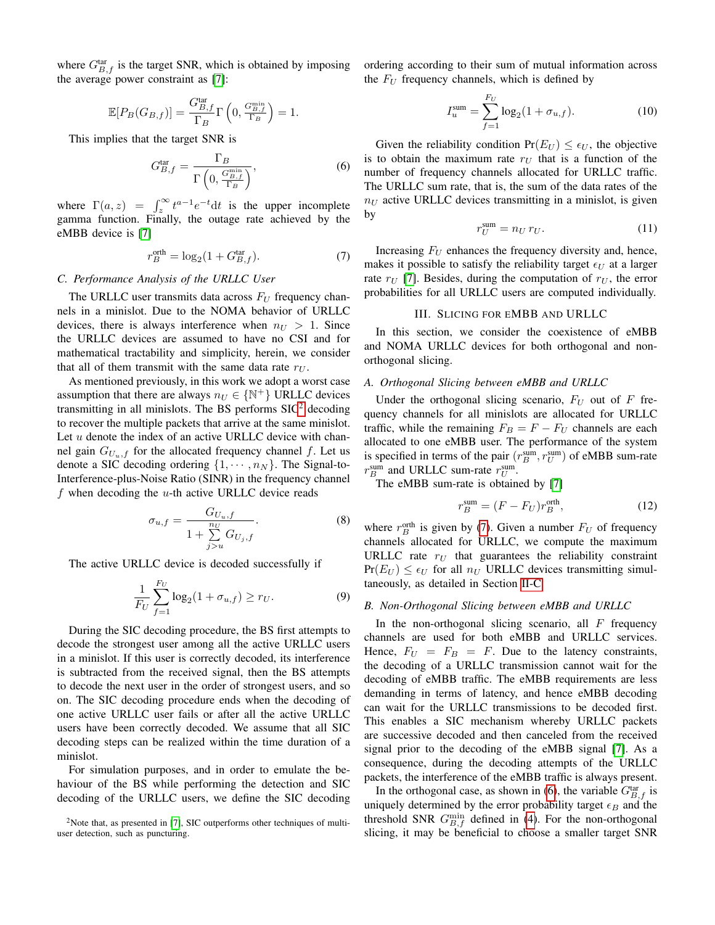where  $G_{B,f}^{\text{tar}}$  is the target SNR, which is obtained by imposing the average power constraint as [\[7\]](#page-5-6):

$$
\mathbb{E}[P_B(G_{B,f})] = \frac{G_{B,f}^{\text{tar}}}{\Gamma_B} \Gamma\left(0, \frac{G_{B,f}^{\min}}{\Gamma_B}\right) = 1.
$$

This implies that the target SNR is

<span id="page-3-4"></span>
$$
G_{B,f}^{\text{tar}} = \frac{\Gamma_B}{\Gamma\left(0, \frac{G_{B,f}^{\min}}{\Gamma_B}\right)},\tag{6}
$$

where  $\Gamma(a, z) = \int_z^{\infty} t^{a-1} e^{-t} dt$  is the upper incomplete gamma function. Finally, the outage rate achieved by the eMBB device is [\[7\]](#page-5-6)

<span id="page-3-2"></span>
$$
r_B^{\text{orth}} = \log_2(1 + G_{B,f}^{\text{tar}}). \tag{7}
$$

#### <span id="page-3-3"></span>*C. Performance Analysis of the URLLC User*

The URLLC user transmits data across  $F_U$  frequency channels in a minislot. Due to the NOMA behavior of URLLC devices, there is always interference when  $n_U > 1$ . Since the URLLC devices are assumed to have no CSI and for mathematical tractability and simplicity, herein, we consider that all of them transmit with the same data rate  $r_U$ .

As mentioned previously, in this work we adopt a worst case assumption that there are always  $n_U \in \{ \mathbb{N}^+ \}$  URLLC devices transmitting in all minislots. The BS performs  $\text{SIC}^2$  $\text{SIC}^2$  decoding to recover the multiple packets that arrive at the same minislot. Let  $u$  denote the index of an active URLLC device with channel gain  $G_{U_{u},f}$  for the allocated frequency channel f. Let us denote a SIC decoding ordering  $\{1, \cdots, n_N\}$ . The Signal-to-Interference-plus-Noise Ratio (SINR) in the frequency channel  $f$  when decoding the  $u$ -th active URLLC device reads

$$
\sigma_{u,f} = \frac{G_{U_u,f}}{1 + \sum\limits_{j>u}^{n_U} G_{U_j,f}}.\tag{8}
$$

The active URLLC device is decoded successfully if

$$
\frac{1}{F_U} \sum_{f=1}^{F_U} \log_2(1 + \sigma_{u,f}) \ge r_U.
$$
 (9)

During the SIC decoding procedure, the BS first attempts to decode the strongest user among all the active URLLC users in a minislot. If this user is correctly decoded, its interference is subtracted from the received signal, then the BS attempts to decode the next user in the order of strongest users, and so on. The SIC decoding procedure ends when the decoding of one active URLLC user fails or after all the active URLLC users have been correctly decoded. We assume that all SIC decoding steps can be realized within the time duration of a minislot.

For simulation purposes, and in order to emulate the behaviour of the BS while performing the detection and SIC decoding of the URLLC users, we define the SIC decoding

ordering according to their sum of mutual information across the  $F_U$  frequency channels, which is defined by

$$
I_u^{\text{sum}} = \sum_{f=1}^{F_U} \log_2(1 + \sigma_{u,f}). \tag{10}
$$

Given the reliability condition  $Pr(E_U) \leq \epsilon_U$ , the objective is to obtain the maximum rate  $r_U$  that is a function of the number of frequency channels allocated for URLLC traffic. The URLLC sum rate, that is, the sum of the data rates of the  $n_U$  active URLLC devices transmitting in a minislot, is given by

$$
r_U^{\text{sum}} = n_U r_U. \tag{11}
$$

Increasing  $F_U$  enhances the frequency diversity and, hence, makes it possible to satisfy the reliability target  $\epsilon_U$  at a larger rate  $r_U$  [\[7\]](#page-5-6). Besides, during the computation of  $r_U$ , the error probabilities for all URLLC users are computed individually.

## III. SLICING FOR EMBB AND URLLC

<span id="page-3-0"></span>In this section, we consider the coexistence of eMBB and NOMA URLLC devices for both orthogonal and nonorthogonal slicing.

#### *A. Orthogonal Slicing between eMBB and URLLC*

Under the orthogonal slicing scenario,  $F_U$  out of F frequency channels for all minislots are allocated for URLLC traffic, while the remaining  $F_B = F - F_U$  channels are each allocated to one eMBB user. The performance of the system is specified in terms of the pair  $(r_B^{\text{sum}}, r_U^{\text{sum}})$  of eMBB sum-rate  $r_B^{\text{sum}}$  and URLLC sum-rate  $r_U^{\text{sum}}$ .

The eMBB sum-rate is obtained by [\[7\]](#page-5-6)

$$
r_B^{\text{sum}} = (F - F_U)r_B^{\text{orth}},\tag{12}
$$

where  $r_B^{\text{orth}}$  is given by [\(7\)](#page-3-2). Given a number  $F_U$  of frequency channels allocated for URLLC, we compute the maximum URLLC rate  $r_U$  that guarantees the reliability constraint  $Pr(E_U) \leq \epsilon_U$  for all  $n_U$  URLLC devices transmitting simultaneously, as detailed in Section [II-C.](#page-3-3)

#### *B. Non-Orthogonal Slicing between eMBB and URLLC*

In the non-orthogonal slicing scenario, all  $F$  frequency channels are used for both eMBB and URLLC services. Hence,  $F_U = F_B = F$ . Due to the latency constraints, the decoding of a URLLC transmission cannot wait for the decoding of eMBB traffic. The eMBB requirements are less demanding in terms of latency, and hence eMBB decoding can wait for the URLLC transmissions to be decoded first. This enables a SIC mechanism whereby URLLC packets are successive decoded and then canceled from the received signal prior to the decoding of the eMBB signal [\[7\]](#page-5-6). As a consequence, during the decoding attempts of the URLLC packets, the interference of the eMBB traffic is always present.

In the orthogonal case, as shown in [\(6\)](#page-3-4), the variable  $G_{B,f}^{\text{tar}}$  is uniquely determined by the error probability target  $\epsilon_B$  and the threshold SNR  $G_{B,f}^{\min}$  defined in [\(4\)](#page-2-2). For the non-orthogonal slicing, it may be beneficial to choose a smaller target SNR

<span id="page-3-1"></span><sup>&</sup>lt;sup>2</sup>Note that, as presented in [\[7\]](#page-5-6), SIC outperforms other techniques of multiuser detection, such as puncturing.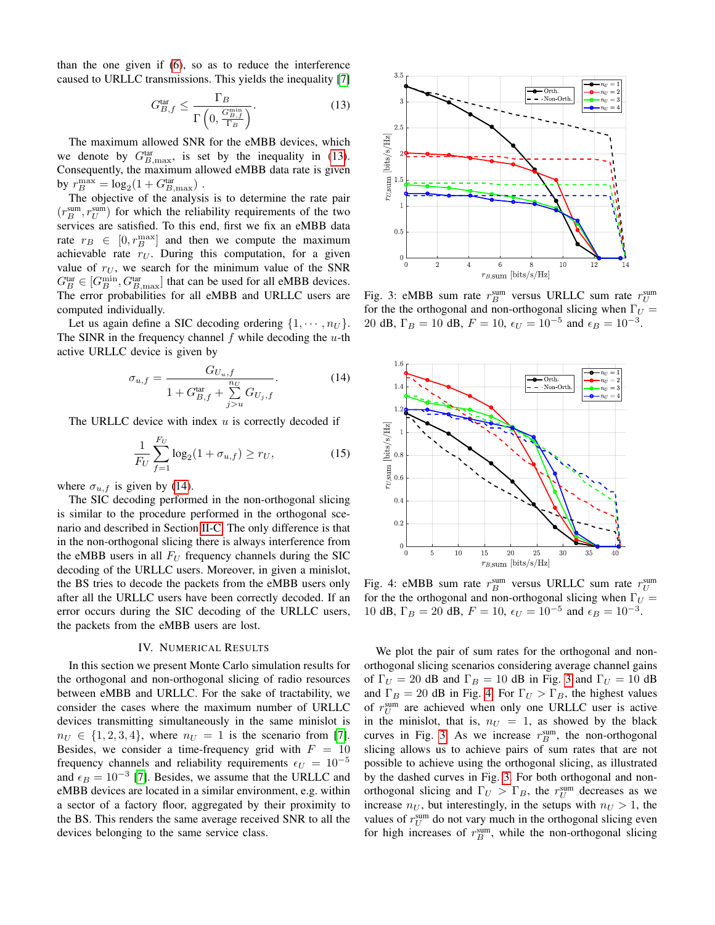than the one given if [\(6\)](#page-3-4), so as to reduce the interference caused to URLLC transmissions. This yields the inequality [\[7\]](#page-5-6)

<span id="page-4-1"></span>
$$
G_{B,f}^{\text{tar}} \le \frac{\Gamma_B}{\Gamma\left(0, \frac{G_{B,f}^{\min}}{\Gamma_B}\right)}.\tag{13}
$$

The maximum allowed SNR for the eMBB devices, which we denote by  $G_{B,\text{max}}^{\text{tar}}$ , is set by the inequality in [\(13\)](#page-4-1). Consequently, the maximum allowed eMBB data rate is given by  $r_B^{\text{max}} = \log_2(1 + G_{B,\text{max}}^{\text{tar}})$ .

The objective of the analysis is to determine the rate pair  $(r_B^{\text{sum}}, r_U^{\text{sum}})$  for which the reliability requirements of the two services are satisfied. To this end, first we fix an eMBB data rate  $r_B \in [0, r_B^{\text{max}}]$  and then we compute the maximum achievable rate  $r_U$ . During this computation, for a given value of  $r_U$ , we search for the minimum value of the SNR  $G_B^{\text{tar}} \in [G_B^{\min}, G_{B,\text{max}}^{\text{tar}}]$  that can be used for all eMBB devices. The error probabilities for all eMBB and URLLC users are computed individually.

Let us again define a SIC decoding ordering  $\{1, \dots, n_U\}$ . The SINR in the frequency channel  $f$  while decoding the  $u$ -th active URLLC device is given by

<span id="page-4-2"></span>
$$
\sigma_{u,f} = \frac{G_{U_u,f}}{1 + G_{B,f}^{\text{tar}} + \sum_{j>u}^{n_U} G_{U_j,f}}.
$$
(14)

The URLLC device with index  $u$  is correctly decoded if

$$
\frac{1}{F_U} \sum_{f=1}^{F_U} \log_2(1 + \sigma_{u,f}) \ge r_U,
$$
\n(15)

where  $\sigma_{u,f}$  is given by [\(14\)](#page-4-2).

The SIC decoding performed in the non-orthogonal slicing is similar to the procedure performed in the orthogonal scenario and described in Section [II-C.](#page-3-3) The only difference is that in the non-orthogonal slicing there is always interference from the eMBB users in all  $F_U$  frequency channels during the SIC decoding of the URLLC users. Moreover, in given a minislot, the BS tries to decode the packets from the eMBB users only after all the URLLC users have been correctly decoded. If an error occurs during the SIC decoding of the URLLC users, the packets from the eMBB users are lost.

## IV. NUMERICAL RESULTS

<span id="page-4-0"></span>In this section we present Monte Carlo simulation results for the orthogonal and non-orthogonal slicing of radio resources between eMBB and URLLC. For the sake of tractability, we consider the cases where the maximum number of URLLC devices transmitting simultaneously in the same minislot is  $n_U \in \{1, 2, 3, 4\}$ , where  $n_U = 1$  is the scenario from [\[7\]](#page-5-6). Besides, we consider a time-frequency grid with  $F = 10$ frequency channels and reliability requirements  $\epsilon_U = 10^{-5}$ and  $\epsilon_B = 10^{-3}$  [\[7\]](#page-5-6). Besides, we assume that the URLLC and eMBB devices are located in a similar environment, e.g. within a sector of a factory floor, aggregated by their proximity to the BS. This renders the same average received SNR to all the devices belonging to the same service class.

<span id="page-4-3"></span>

Fig. 3: eMBB sum rate  $r_B^{\text{sum}}$  versus URLLC sum rate  $r_U^{\text{sum}}$ for the the orthogonal and non-orthogonal slicing when  $\Gamma_U =$ 20 dB,  $\Gamma_B = 10$  dB,  $F = 10$ ,  $\epsilon_U = 10^{-5}$  and  $\epsilon_B = 10^{-3}$ .

<span id="page-4-4"></span>

Fig. 4: eMBB sum rate  $r_B^{\text{sum}}$  versus URLLC sum rate  $r_U^{\text{sum}}$ for the the orthogonal and non-orthogonal slicing when  $\Gamma_U =$ 10 dB,  $\Gamma_B = 20$  dB,  $F = 10$ ,  $\epsilon_U = 10^{-5}$  and  $\epsilon_B = 10^{-3}$ .

We plot the pair of sum rates for the orthogonal and nonorthogonal slicing scenarios considering average channel gains of  $\Gamma_U = 20$  dB and  $\Gamma_B = 10$  dB in Fig. [3](#page-4-3) and  $\Gamma_U = 10$  dB and  $\Gamma_B = 20$  dB in Fig. [4.](#page-4-4) For  $\Gamma_U > \Gamma_B$ , the highest values of  $r_U^{\text{sum}}$  are achieved when only one URLLC user is active in the minislot, that is,  $n_U = 1$ , as showed by the black curves in Fig. [3.](#page-4-3) As we increase  $r_B^{\text{sum}}$ , the non-orthogonal slicing allows us to achieve pairs of sum rates that are not possible to achieve using the orthogonal slicing, as illustrated by the dashed curves in Fig. [3.](#page-4-3) For both orthogonal and nonorthogonal slicing and  $\Gamma_U > \Gamma_B$ , the  $r_U^{\text{sum}}$  decreases as we increase  $n_U$ , but interestingly, in the setups with  $n_U > 1$ , the values of  $r_U^{\text{sum}}$  do not vary much in the orthogonal slicing even for high increases of  $r_B^{\text{sum}}$ , while the non-orthogonal slicing